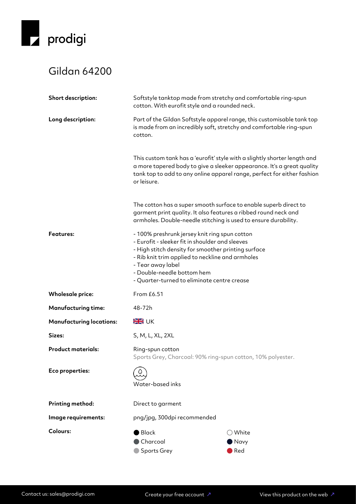

## Gildan 64200

| Short description:              | Softstyle tanktop made from stretchy and comfortable ring-spun<br>cotton. With eurofit style and a rounded neck.                                                                                                                                                                                              |                                                                                                                                                   |
|---------------------------------|---------------------------------------------------------------------------------------------------------------------------------------------------------------------------------------------------------------------------------------------------------------------------------------------------------------|---------------------------------------------------------------------------------------------------------------------------------------------------|
| Long description:               | Part of the Gildan Softstyle apparel range, this customisable tank top<br>is made from an incredibly soft, stretchy and comfortable ring-spun<br>cotton.                                                                                                                                                      |                                                                                                                                                   |
|                                 | This custom tank has a 'eurofit' style with a slightly shorter length and<br>or leisure.                                                                                                                                                                                                                      | a more tapered body to give a sleeker appearance. It's a great quality<br>tank top to add to any online apparel range, perfect for either fashion |
|                                 | The cotton has a super smooth surface to enable superb direct to<br>garment print quality. It also features a ribbed round neck and<br>armholes. Double-needle stitching is used to ensure durability.                                                                                                        |                                                                                                                                                   |
| <b>Features:</b>                | - 100% preshrunk jersey knit ring spun cotton<br>- Eurofit - sleeker fit in shoulder and sleeves<br>- High stitch density for smoother printing surface<br>- Rib knit trim applied to neckline and armholes<br>- Tear away label<br>- Double-needle bottom hem<br>- Quarter-turned to eliminate centre crease |                                                                                                                                                   |
| <b>Wholesale price:</b>         | From £6.51                                                                                                                                                                                                                                                                                                    |                                                                                                                                                   |
| <b>Manufacturing time:</b>      | 48-72h                                                                                                                                                                                                                                                                                                        |                                                                                                                                                   |
| <b>Manufacturing locations:</b> | <b>SK</b> UK                                                                                                                                                                                                                                                                                                  |                                                                                                                                                   |
| Sizes:                          | S, M, L, XL, 2XL                                                                                                                                                                                                                                                                                              |                                                                                                                                                   |
| <b>Product materials:</b>       | Ring-spun cotton<br>Sports Grey, Charcoal: 90% ring-spun cotton, 10% polyester.                                                                                                                                                                                                                               |                                                                                                                                                   |
| Eco properties:                 | Water-based inks                                                                                                                                                                                                                                                                                              |                                                                                                                                                   |
| Printing method:                | Direct to garment                                                                                                                                                                                                                                                                                             |                                                                                                                                                   |
| Image requirements:             | png/jpg, 300dpi recommended                                                                                                                                                                                                                                                                                   |                                                                                                                                                   |
| Colours:                        | <b>Black</b><br>Charcoal<br><b>Sports Grey</b>                                                                                                                                                                                                                                                                | $\bigcirc$ White<br>Navy<br>Red                                                                                                                   |